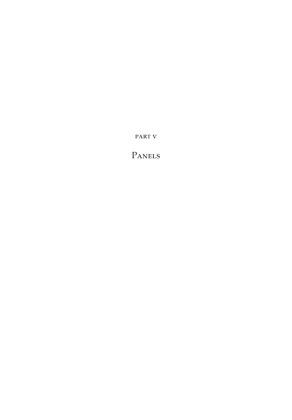PART V

PANELS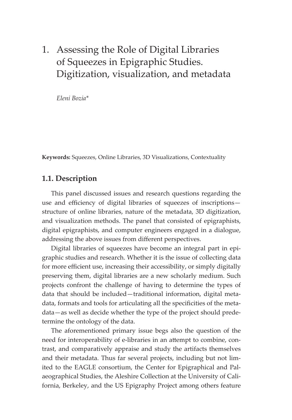# 1. Assessing the Role of Digital Libraries of Squeezes in Epigraphic Studies. Digitization, visualization, and metadata

*Eleni Bozia\**

**Keywords:** Squeezes, Online Libraries, 3D Visualizations, Contextuality

#### **1.1. Description**

This panel discussed issues and research questions regarding the use and efficiency of digital libraries of squeezes of inscriptions structure of online libraries, nature of the metadata, 3D digitization, and visualization methods. The panel that consisted of epigraphists, digital epigraphists, and computer engineers engaged in a dialogue, addressing the above issues from different perspectives.

Digital libraries of squeezes have become an integral part in epigraphic studies and research. Whether it is the issue of collecting data for more efficient use, increasing their accessibility, or simply digitally preserving them, digital libraries are a new scholarly medium. Such projects confront the challenge of having to determine the types of data that should be included—traditional information, digital metadata, formats and tools for articulating all the specificities of the metadata—as well as decide whether the type of the project should predetermine the ontology of the data.

The aforementioned primary issue begs also the question of the need for interoperability of e-libraries in an attempt to combine, contrast, and comparatively appraise and study the artifacts themselves and their metadata. Thus far several projects, including but not limited to the EAGLE consortium, the Center for Epigraphical and Palaeographical Studies, the Aleshire Collection at the University of California, Berkeley, and the US Epigraphy Project among others feature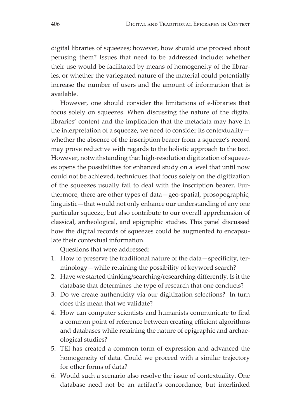digital libraries of squeezes; however, how should one proceed about perusing them? Issues that need to be addressed include: whether their use would be facilitated by means of homogeneity of the libraries, or whether the variegated nature of the material could potentially increase the number of users and the amount of information that is available.

However, one should consider the limitations of e-libraries that focus solely on squeezes. When discussing the nature of the digital libraries' content and the implication that the metadata may have in the interpretation of a squeeze, we need to consider its contextuality whether the absence of the inscription bearer from a squeeze's record may prove reductive with regards to the holistic approach to the text. However, notwithstanding that high-resolution digitization of squeezes opens the possibilities for enhanced study on a level that until now could not be achieved, techniques that focus solely on the digitization of the squeezes usually fail to deal with the inscription bearer. Furthermore, there are other types of data—geo-spatial, prosopographic, linguistic—that would not only enhance our understanding of any one particular squeeze, but also contribute to our overall apprehension of classical, archeological, and epigraphic studies. This panel discussed how the digital records of squeezes could be augmented to encapsulate their contextual information.

Questions that were addressed:

- 1. How to preserve the traditional nature of the data—specificity, terminology—while retaining the possibility of keyword search?
- 2. Have we started thinking/searching/researching differently. Is it the database that determines the type of research that one conducts?
- 3. Do we create authenticity via our digitization selections? In turn does this mean that we validate?
- 4. How can computer scientists and humanists communicate to find a common point of reference between creating efficient algorithms and databases while retaining the nature of epigraphic and archaeological studies?
- 5. TEI has created a common form of expression and advanced the homogeneity of data. Could we proceed with a similar trajectory for other forms of data?
- 6. Would such a scenario also resolve the issue of contextuality. One database need not be an artifact's concordance, but interlinked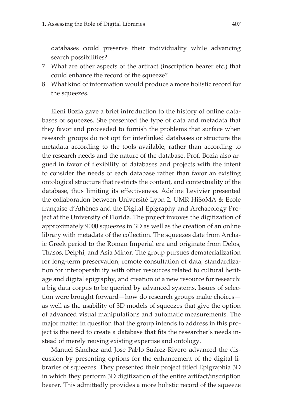databases could preserve their individuality while advancing search possibilities?

- 7. What are other aspects of the artifact (inscription bearer etc.) that could enhance the record of the squeeze?
- 8. What kind of information would produce a more holistic record for the squeezes.

Eleni Bozia gave a brief introduction to the history of online databases of squeezes. She presented the type of data and metadata that they favor and proceeded to furnish the problems that surface when research groups do not opt for interlinked databases or structure the metadata according to the tools available, rather than according to the research needs and the nature of the database. Prof. Bozia also argued in favor of flexibility of databases and projects with the intent to consider the needs of each database rather than favor an existing ontological structure that restricts the content, and contextuality of the database, thus limiting its effectiveness. Adeline Levivier presented the collaboration between Université Lyon 2, UMR HiSoMA & Ecole française d'Athènes and the Digital Epigraphy and Archaeology Project at the University of Florida. The project invoves the digitization of approximately 9000 squeezes in 3D as well as the creation of an online library with metadata of the collection. The squeezes date from Archaic Greek period to the Roman Imperial era and originate from Delos, Thasos, Delphi, and Asia Minor. The group pursues dematerialization for long-term preservation, remote consultation of data, standardization for interoperability with other resources related to cultural heritage and digital epigraphy, and creation of a new resource for research: a big data corpus to be queried by advanced systems. Issues of selection were brought forward—how do research groups make choices as well as the usability of 3D models of squeezes that give the option of advanced visual manipulations and automatic measurements. The major matter in question that the group intends to address in this project is the need to create a database that fits the researcher's needs instead of merely reusing existing expertise and ontology.

Manuel Sánchez and Jose Pablo Suárez-Rivero advanced the discussion by presenting options for the enhancement of the digital libraries of squeezes. They presented their project titled Epigraphia 3D in which they perform 3D digitization of the entire artifact/inscription bearer. This admittedly provides a more holistic record of the squeeze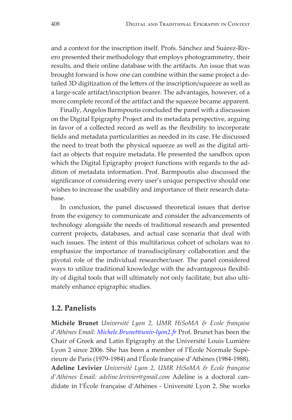and a context for the inscription itself. Profs. Sánchez and Suárez-Rivero presented their methodology that employs photogrammetry, their results, and their online database with the artifacts. An issue that was brought forward is how one can combine within the same project a detailed 3D digitization of the letters of the inscription/squeeze as well as a large-scale artifact/inscription bearer. The advantages, however, of a more complete record of the artifact and the squeeze became apparent.

Finally, Angelos Barmpoutis concluded the panel with a discussion on the Digital Epigraphy Project and its metadata perspective, arguing in favor of a collected record as well as the flexibility to incorporate fields and metadata particularities as needed in its case. He discussed the need to treat both the physical squeeze as well as the digital artifact as objects that require metadata. He presented the sandbox upon which the Digital Epigraphy project functions with regards to the addition of metadata information. Prof. Barmpoutis also discussed the significance of considering every user's unique perspective should one wishes to increase the usability and importance of their research database.

In conclusion, the panel discussed theoretical issues that derive from the exigency to communicate and consider the advancements of technology alongside the needs of traditional research and presented current projects, databases, and actual case scenaria that deal with such issues. The intent of this multifarious cohort of scholars was to emphasize the importance of transdisciplinary collaboration and the pivotal role of the individual researcher/user. The panel considered ways to utilize traditional knowledge with the advantageous flexibility of digital tools that will ultimately not only facilitate, but also ultimately enhance epigraphic studies.

#### **1.2. Panelists**

**Michèle Brunet** *Université Lyon 2, UMR HiSoMA & Ecole française d'Athènes Email: [Michele.Brunet@univ-lyon2.fr](mailto:Michele.Brunet%40univ-lyon2.fr?subject=)* Prof. Brunet has been the Chair of Greek and Latin Epigraphy at the Université Louis Lumière Lyon 2 since 2006. She has been a member of l'École Normale Supérieure de Paris (1979-1984) and l'École française d'Athènes (1984-1988). **Adeline Levivier** *Université Lyon 2, UMR HiSoMA & Ecole française d'Athènes Email: adeline.levivier@gmail.com* Adeline is a doctoral candidate in l'École française d'Athènes - Université Lyon 2. She works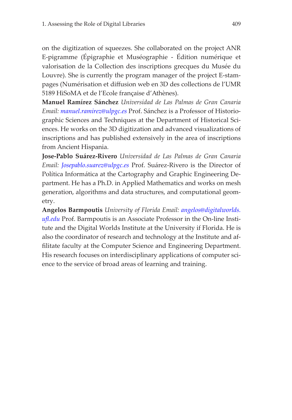on the digitization of squeezes. She collaborated on the project ANR E-pigramme (Épigraphie et Muséographie - Édition numérique et valorisation de la Collection des inscriptions grecques du Musée du Louvre). She is currently the program manager of the project E-stampages (Numérisation et diffusion web en 3D des collections de l'UMR 5189 HiSoMA et de l'Ecole française d'Athènes).

**Manuel Ramírez Sánchez** *Universidad de Las Palmas de Gran Canaria Email: [manuel.ramirez@ulpgc.es](mailto:manuel.ramirez%40ulpgc.es?subject=)* Prof. Sánchez is a Professor of Historiographic Sciences and Techniques at the Department of Historical Sciences. He works on the 3D digitization and advanced visualizations of inscriptions and has published extensively in the area of inscriptions from Ancient Hispania.

**Jose-Pablo Suárez-Rivero** *Universidad de Las Palmas de Gran Canaria Email: [Josepablo.suarez@ulpgc.es](mailto:Josepablo.suarez%40ulpgc.es?subject=)* Prof. Suárez-Rivero is the Director of Política Informática at the Cartography and Graphic Engineering Department. He has a Ph.D. in Applied Mathematics and works on mesh generation, algorithms and data structures, and computational geometry.

**Angelos Barmpoutis** *University of Florida Email: [angelos@digitalworlds.](mailto:angelos%40digitalworlds.ufl.edu?subject=) [ufl.edu](mailto:angelos%40digitalworlds.ufl.edu?subject=)* Prof. Barmpoutis is an Associate Professor in the On-line Institute and the Digital Worlds Institute at the University if Florida. He is also the coordinator of research and technology at the Institute and affilitate faculty at the Computer Science and Engineering Department. His research focuses on interdisciplinary applications of computer science to the service of broad areas of learning and training.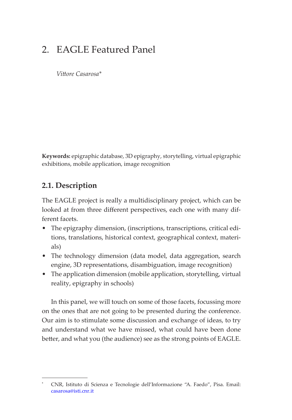# 2. EAGLE Featured Panel

*Vittore Casarosa\**

**Keywords:** epigraphic database, 3D epigraphy, storytelling, virtual epigraphic exhibitions, mobile application, image recognition

### **2.1. Description\***

The EAGLE project is really a multidisciplinary project, which can be looked at from three different perspectives, each one with many different facets.

- The epigraphy dimension, (inscriptions, transcriptions, critical editions, translations, historical context, geographical context, materials)
- The technology dimension (data model, data aggregation, search engine, 3D representations, disambiguation, image recognition)
- The application dimension (mobile application, storytelling, virtual reality, epigraphy in schools)

In this panel, we will touch on some of those facets, focussing more on the ones that are not going to be presented during the conference. Our aim is to stimulate some discussion and exchange of ideas, to try and understand what we have missed, what could have been done better, and what you (the audience) see as the strong points of EAGLE.

**<sup>\*</sup>** CNR, Istituto di Scienza e Tecnologie dell'Informazione "A. Faedo", Pisa. Email: [casarosa@isti.cnr.it](mailto:casarosa@isti.cnr.it)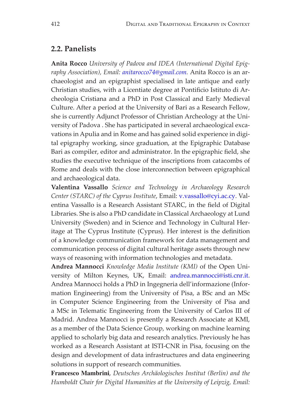#### **2.2. Panelists**

**Anita Rocco** *University of Padova and IDEA (International Digital Epigraphy Association), Email: [anitarocco74@gmail.com](mailto:anitarocco74@gmail.com).* Anita Rocco is an archaeologist and an epigraphist specialised in late antique and early Christian studies, with a Licentiate degree at Pontificio Istituto di Archeologia Cristiana and a PhD in Post Classical and Early Medieval Culture. After a period at the University of Bari as a Research Fellow, she is currently Adjunct Professor of Christian Archeology at the University of Padova . She has participated in several archaeological excavations in Apulia and in Rome and has gained solid experience in digital epigraphy working, since graduation, at the Epigraphic Database Bari as compiler, editor and administrator. In the epigraphic field, she studies the executive technique of the inscriptions from catacombs of Rome and deals with the close interconnection between epigraphical and archaeological data.

**Valentina Vassallo** *Science and Technology in Archaeology Research Center (STARC) of the Cyprus Institute*, Email: [v.vassallo@cyi.ac.cy.](mailto:v.vassallo@cyi.ac.cy) Valentina Vassallo is a Research Assistant STARC, in the field of Digital Libraries. She is also a PhD candidate in Classical Archaeology at Lund University (Sweden) and in Science and Technology in Cultural Heritage at The Cyprus Institute (Cyprus). Her interest is the definition of a knowledge communication framework for data management and communication process of digital cultural heritage assets through new ways of reasoning with information technologies and metadata.

**Andrea Mannocci** *Knowledge Media Institute (KMI)* of the Open University of Milton Keynes, UK, Email: [andrea.mannocci@isti.cnr.it.](mailto:andrea.mannocci@isti.cnr.it) Andrea Mannocci holds a PhD in Ingegneria dell'informazione (Information Engineering) from the University of Pisa, a BSc and an MSc in Computer Science Engineering from the University of Pisa and a MSc in Telematic Engineering from the University of Carlos III of Madrid. Andrea Mannocci is presently a Research Associate at KMI, as a member of the Data Science Group, working on machine learning applied to scholarly big data and research analytics. Previously he has worked as a Research Assistant at ISTI-CNR in Pisa, focusing on the design and development of data infrastructures and data engineering solutions in support of research communities.

**Francesco Mambrini**, *Deutsches Archäologisches Institut (Berlin) and the Humboldt Chair for Digital Humanities at the University of Leipzig, Email:*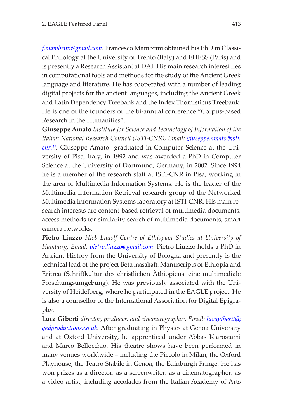*[f.mambrini@gmail.com](mailto:f.mambrini@gmail.com)*. Francesco Mambrini obtained his PhD in Classical Philology at the University of Trento (Italy) and EHESS (Paris) and is presently a Research Assistant at DAI. His main research interest lies in computational tools and methods for the study of the Ancient Greek language and literature. He has cooperated with a number of leading digital projects for the ancient languages, including the Ancient Greek and Latin Dependency Treebank and the Index Thomisticus Treebank. He is one of the founders of the bi-annual conference "Corpus-based Research in the Humanities".

**Giuseppe Amato** *Institute for Science and Technology of Information of the Italian National Research Council (ISTI-CNR), Email: [giuseppe.amato@isti.](mailto:giuseppe.amato@isti.cnr.it) [cnr.it](mailto:giuseppe.amato@isti.cnr.it).* Giuseppe Amato graduated in Computer Science at the University of Pisa, Italy, in 1992 and was awarded a PhD in Computer Science at the University of Dortmund, Germany, in 2002. Since 1994 he is a member of the research staff at ISTI-CNR in Pisa, working in the area of Multimedia Information Systems. He is the leader of the Multimedia Information Retrieval research group of the Networked Multimedia Information Systems laboratory at ISTI-CNR. His main research interests are content-based retrieval of multimedia documents, access methods for similarity search of multimedia documents, smart camera networks.

**Pietro Liuzzo** *Hiob Ludolf Centre of Ethiopian Studies at University of Hamburg, Email: [pietro.liuzzo@gmail.com](mailto:pietro.liuzzo@gmail.com)*. Pietro Liuzzo holds a PhD in Ancient History from the University of Bologna and presently is the technical lead of the project Beta maṣāḥǝft: Manuscripts of Ethiopia and Eritrea (Schriftkultur des christlichen Äthiopiens: eine multimediale Forschungsumgebung). He was previously associated with the University of Heidelberg, where he participated in the EAGLE project. He is also a counsellor of the International Association for Digital Epigraphy.

**Luca Giberti** *director, producer, and cinematographer. Email: [lucagiberti@](mailto:lucagiberti%40qedproductions.co.uk?subject=) [qedproductions.co.uk](mailto:lucagiberti%40qedproductions.co.uk?subject=)*. After graduating in Physics at Genoa University and at Oxford University, he apprenticed under Abbas Kiarostami and Marco Bellocchio. His theatre shows have been performed in many venues worldwide – including the Piccolo in Milan, the Oxford Playhouse, the Teatro Stabile in Genoa, the Edinburgh Fringe. He has won prizes as a director, as a screenwriter, as a cinematographer, as a video artist, including accolades from the Italian Academy of Arts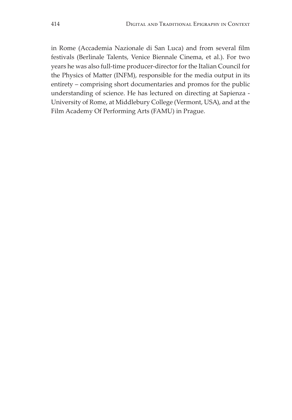in Rome (Accademia Nazionale di San Luca) and from several film festivals (Berlinale Talents, Venice Biennale Cinema, et al.). For two years he was also full-time producer-director for the Italian Council for the Physics of Matter (INFM), responsible for the media output in its entirety – comprising short documentaries and promos for the public understanding of science. He has lectured on directing at Sapienza - University of Rome, at Middlebury College (Vermont, USA), and at the Film Academy Of Performing Arts (FAMU) in Prague.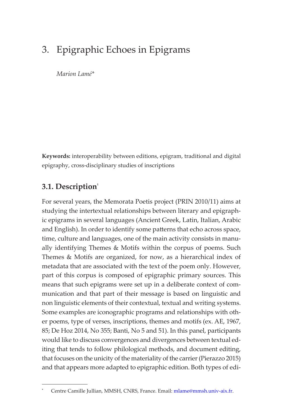# 3. Epigraphic Echoes in Epigrams

*Marion Lamé\**

**Keywords:** interoperability between editions, epigram, traditional and digital epigraphy, cross-disciplinary studies of inscriptions

### **3.1. Description**<sup>1</sup>

For several years, the Memorata Poetis project (PRIN 2010/11) aims at studying the intertextual relationships between literary and epigraphic epigrams in several languages (Ancient Greek, Latin, Italian, Arabic and English). In order to identify some patterns that echo across space, time, culture and languages, one of the main activity consists in manually identifying Themes & Motifs within the corpus of poems. Such Themes & Motifs are organized, for now, as a hierarchical index of metadata that are associated with the text of the poem only. However, part of this corpus is composed of epigraphic primary sources. This means that such epigrams were set up in a deliberate context of communication and that part of their message is based on linguistic and non linguistic elements of their contextual, textual and writing systems. Some examples are iconographic programs and relationships with other poems, type of verses, inscriptions, themes and motifs (ex. AE, 1967, 85; De Hoz 2014, No 355; Banti, No 5 and 51). In this panel, participants would like to discuss convergences and divergences between textual editing that tends to follow philological methods, and document editing, that focuses on the unicity of the materiality of the carrier (Pierazzo 2015) and that appears more adapted to epigraphic edition. Both types of edi-

**<sup>\*</sup>** Centre Camille Jullian, MMSH, CNRS, France. Email: [mlame@mmsh.univ-aix.fr](mailto:%20mlame%40mmsh.univ-aix.fr?subject=).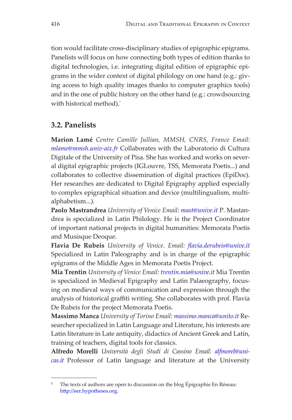tion would facilitate cross-disciplinary studies of epigraphic epigrams. Panelists will focus on how connecting both types of edition thanks to digital technologies, i.e. integrating digital edition of epigraphic epigrams in the wider context of digital philology on one hand (e.g.: giving access to high quality images thanks to computer graphics tools) and in the one of public history on the other hand (e.g.: crowdsourcing with historical method).<sup>1</sup>

# **3.2. Panelists**

**Marion Lamé** *Centre Camille Jullian, MMSH, CNRS, France Email: [mlame@mmsh.univ-aix.fr](mailto:mlame%40mmsh.univ-aix.fr?subject=)* Collaborates with the Laboratorio di Cultura Digitale of the University of Pisa. She has worked and works on several digital epigraphic projects (IGLouvre, TSS, Memorata Poetis...) and collaborates to collective dissemination of digital practices (EpiDoc). Her researches are dedicated to Digital Epigraphy applied especially to complex epigraphical situation and device (multilingualism, multialphabetism...).

**Paolo Mastrandrea** *University of Venice Email: [mast@unive.it](mailto:mast%40unive.it?subject=)* P. Mastandrea is specialized in Latin Philology. He is the Project Coordinator of important national projects in digital humanities: Memorata Poetis and Musisque Deoque.

**Flavia De Rubeis** *University of Venice. Email: [flavia.derubeis@unive.it](mailto:flavia.derubeis%40unive.it?subject=)* Specialized in Latin Paleography and is in charge of the epigraphic epigrams of the Middle Ages in Memorata Poetis Project.

**Mia Trentin** *University of Venice Email[: trentin.mia@unive.it](mailto:%20trentin.mia%40unive.it?subject=)* Mia Trentin is specialized in Medieval Epigraphy and Latin Palaeography, focusing on medieval ways of communication and expression through the analysis of historical graffiti writing. She collaborates with prof. Flavia De Rubeis for the project Memorata Poetis.

**Massimo Manca** *University of Torino Email: [massimo.manca@unito.it](mailto:massimo.manca%40unito.it%20?subject=)* Researcher specialized in Latin Language and Literature, his interests are Latin literature in Late antiquity, didactics of Ancient Greek and Latin, training of teachers, digital tools for classics.

**Alfredo Morelli** *Università degli Studi di Cassino Email: [alfmorel@uni](mailto:alfmorel%40unicas.it?subject=)[cas.it](mailto:alfmorel%40unicas.it?subject=)* Professor of Latin language and literature at the University

**<sup>1</sup>** The texts of authors are open to discussion on the blog Épigraphie En Réseau: <http://eer.hypotheses.org>.